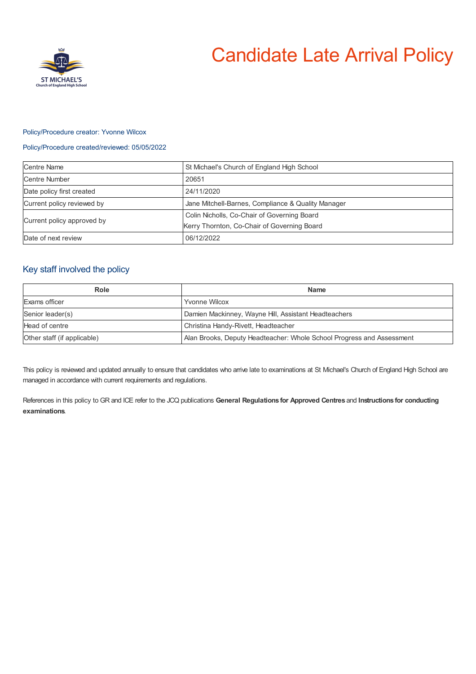

### Policy/Procedure creator: Yvonne Wilcox

### Policy/Procedure created/reviewed: 05/05/2022

| <b>Centre Name</b>         | St Michael's Church of England High School                                                 |
|----------------------------|--------------------------------------------------------------------------------------------|
| Centre Number              | 20651                                                                                      |
| Date policy first created  | 24/11/2020                                                                                 |
| Current policy reviewed by | Jane Mitchell-Barnes, Compliance & Quality Manager                                         |
| Current policy approved by | Colin Nicholls, Co-Chair of Governing Board<br>Kerry Thornton, Co-Chair of Governing Board |
| Date of next review        | 06/12/2022                                                                                 |

# Key staff involved the policy

| Role                        | <b>Name</b>                                                           |
|-----------------------------|-----------------------------------------------------------------------|
| Exams officer               | Yvonne Wilcox                                                         |
| Senior leader(s)            | Damien Mackinney, Wayne Hill, Assistant Headteachers                  |
| Head of centre              | Christina Handy-Rivett, Headteacher                                   |
| Other staff (if applicable) | Alan Brooks, Deputy Headteacher: Whole School Progress and Assessment |

This policy is reviewed and updated annually to ensure that candidates who arrive late to examinations at St Michael's Church of England High School are managed in accordance with current requirements and regulations.

References in this policy to GR and ICE refer to the JCQ publications **General Regulations for Approved Centres** and **Instructions for conducting examinations**.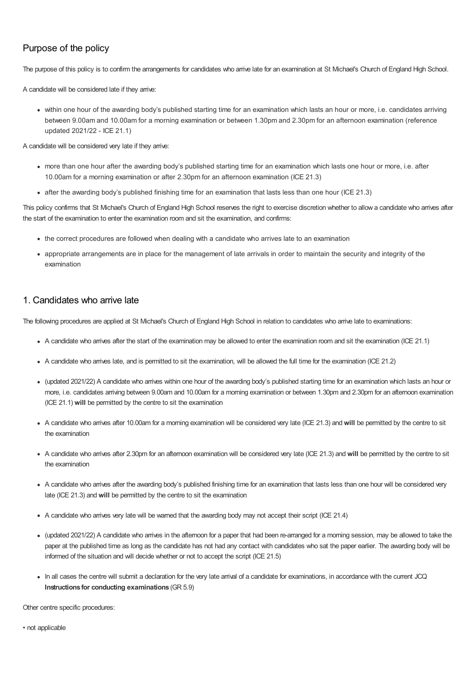## Purpose of the policy

The purpose of this policy is to confirm the arrangements for candidates who arrive late for an examination at St Michael's Church of England High School.

A candidate will be considered late if they arrive:

within one hour of the awarding body's published starting time for an examination which lasts an hour or more, i.e. candidates arriving between 9.00am and 10.00am for a morning examination or between 1.30pm and 2.30pm for an afternoon examination (reference updated 2021/22 - ICE 21.1)

A candidate will be considered very late if they arrive:

- more than one hour after the awarding body's published starting time for an examination which lasts one hour or more, i.e. after 10.00am for a morning examination or after 2.30pm for an afternoon examination (ICE 21.3)
- after the awarding body's published finishing time for an examination that lasts less than one hour (ICE 21.3)

This policy confirms that St Michael's Church of England High School reserves the right to exercise discretion whether to allow a candidate who arrives after the start of the examination to enter the examination room and sit the examination, and confirms:

- the correct procedures are followed when dealing with a candidate who arrives late to an examination
- appropriate arrangements are in place for the management of late arrivals in order to maintain the security and integrity of the examination

### 1. Candidates who arrive late

The following procedures are applied at St Michael's Church of England High School in relation to candidates who arrive late to examinations:

- A candidate who arrives after the start of the examination may be allowed to enter the examination room and sit the examination (ICE 21.1)
- A candidate who arrives late, and is permitted to sit the examination, will be allowed the full time for the examination (ICE 21.2)
- (updated 2021/22) A candidate who arrives within one hour of the awarding body's published starting time for an examination which lasts an hour or more, i.e. candidates arriving between 9.00am and 10.00am for a morning examination or between 1.30pm and 2.30pm for an afternoon examination (ICE 21.1) **will** be permitted by the centre to sit the examination
- A candidate who arrives after 10.00am for a morning examination will be considered very late (ICE 21.3) and **will** be permitted by the centre to sit the examination
- A candidate who arrives after 2.30pm for an afternoon examination will be considered very late (ICE 21.3) and **will** be permitted by the centre to sit the examination
- A candidate who arrives after the awarding body's published finishing time for an examination that lasts less than one hour will be considered very late (ICE 21.3) and **will** be permitted by the centre to sit the examination
- A candidate who arrives very late will be warned that the awarding body may not accept their script (ICE 21.4)
- (updated 2021/22) A candidate who arrives in the afternoon for a paper that had been re-arranged for a morning session, may be allowed to take the paper at the published time as long as the candidate has not had any contact with candidates who sat the paper earlier. The awarding body will be informed of the situation and will decide whether or not to accept the script (ICE 21.5)
- In all cases the centre will submit a declaration for the very late arrival of a candidate for examinations, in accordance with the current JCQ **Instructions for conducting examinations** (GR 5.9)

Other centre specific procedures: